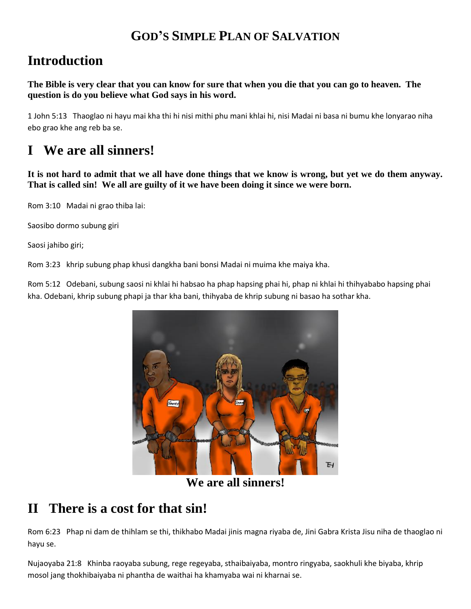#### **GOD'S SIMPLE PLAN OF SALVATION**

## **Introduction**

**The Bible is very clear that you can know for sure that when you die that you can go to heaven. The question is do you believe what God says in his word.**

1 John 5:13 Thaoglao ni hayu mai kha thi hi nisi mithi phu mani khlai hi, nisi Madai ni basa ni bumu khe lonyarao niha ebo grao khe ang reb ba se.

# **I We are all sinners!**

**It is not hard to admit that we all have done things that we know is wrong, but yet we do them anyway. That is called sin! We all are guilty of it we have been doing it since we were born.**

Rom 3:10 Madai ni grao thiba lai:

Saosibo dormo subung giri

Saosi jahibo giri;

Rom 3:23 khrip subung phap khusi dangkha bani bonsi Madai ni muima khe maiya kha.

Rom 5:12 Odebani, subung saosi ni khlai hi habsao ha phap hapsing phai hi, phap ni khlai hi thihyababo hapsing phai kha. Odebani, khrip subung phapi ja thar kha bani, thihyaba de khrip subung ni basao ha sothar kha.



**We are all sinners!**

## **II There is a cost for that sin!**

Rom 6:23 Phap ni dam de thihlam se thi, thikhabo Madai jinis magna riyaba de, Jini Gabra Krista Jisu niha de thaoglao ni hayu se.

Nujaoyaba 21:8 Khinba raoyaba subung, rege regeyaba, sthaibaiyaba, montro ringyaba, saokhuli khe biyaba, khrip mosol jang thokhibaiyaba ni phantha de waithai ha khamyaba wai ni kharnai se.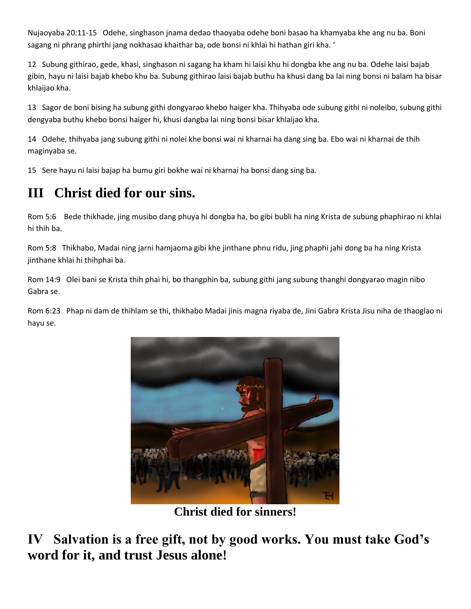Nujaoyaba 20:11-15 Odehe, singhason jnama dedao thaoyaba odehe boni basao ha khamyaba khe ang nu ba. Boni sagang ni phrang phirthi jang nokhasao khaithar ba, ode bonsi ni khlai hi hathan giri kha. '

12 Subung githirao, gede, khasi, singhason ni sagang ha kham hi laisi khu hi dongba khe ang nu ba. Odehe laisi bajab gibin, hayu ni laisi bajab khebo khu ba. Subung githirao laisi bajab buthu ha khusi dang ba lai ning bonsi ni balam ha bisar khlaijao kha.

13 Sagor de boni bising ha subung githi dongyarao khebo haiger kha. Thihyaba ode subung githi ni noleibo, subung githi dengyaba buthu khebo bonsi haiger hi, khusi dangba lai ning bonsi bisar khlaijao kha.

14 Odehe, thihyaba jang subung githi ni nolei khe bonsi wai ni kharnai ha dang sing ba. Ebo wai ni kharnai de thih maginyaba se.

15 Sere hayu ni laisi bajap ha bumu giri bokhe wai ni kharnai ha bonsi dang sing ba.

## **III Christ died for our sins.**

Rom 5:6 Bede thikhade, jing musibo dang phuya hi dongba ha, bo gibi bubli ha ning Krista de subung phaphirao ni khlai hi thih ba.

Rom 5:8 Thikhabo, Madai ning jarni hamjaoma gibi khe jinthane phnu ridu, jing phaphi jahi dong ba ha ning Krista jinthane khlai hi thihphai ba.

Rom 14:9 Olei bani se Krista thih phai hi, bo thangphin ba, subung githi jang subung thanghi dongyarao magin nibo Gabra se.

Rom 6:23 Phap ni dam de thihlam se thi, thikhabo Madai jinis magna riyaba de, Jini Gabra Krista Jisu niha de thaoglao ni hayu se.



**Christ died for sinners!**

**IV Salvation is a free gift, not by good works. You must take God's word for it, and trust Jesus alone!**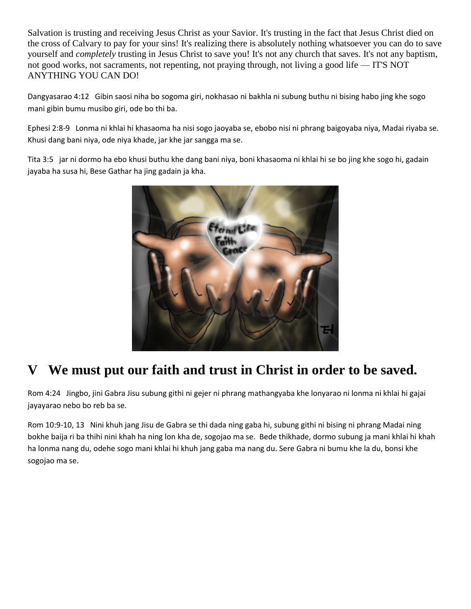Salvation is trusting and receiving Jesus Christ as your Savior. It's trusting in the fact that Jesus Christ died on the cross of Calvary to pay for your sins! It's realizing there is absolutely nothing whatsoever you can do to save yourself and *completely* trusting in Jesus Christ to save you! It's not any church that saves. It's not any baptism, not good works, not sacraments, not repenting, not praying through, not living a good life — IT'S NOT ANYTHING YOU CAN DO!

Dangyasarao 4:12 Gibin saosi niha bo sogoma giri, nokhasao ni bakhla ni subung buthu ni bising habo jing khe sogo mani gibin bumu musibo giri, ode bo thi ba.

Ephesi 2:8-9 Lonma ni khlai hi khasaoma ha nisi sogo jaoyaba se, ebobo nisi ni phrang baigoyaba niya, Madai riyaba se. Khusi dang bani niya, ode niya khade, jar khe jar sangga ma se.

Tita 3:5 jar ni dormo ha ebo khusi buthu khe dang bani niya, boni khasaoma ni khlai hi se bo jing khe sogo hi, gadain jayaba ha susa hi, Bese Gathar ha jing gadain ja kha.



## We must put our faith and trust in Christ in order to be saved.

Rom 4:24 Jingbo, jini Gabra Jisu subung githi ni gejer ni phrang mathangyaba khe lonyarao ni lonma ni khlai hi gajai jayayarao nebo bo reb ba se.

Rom 10:9-10, 13 Nini khuh jang Jisu de Gabra se thi dada ning gaba hi, subung githi ni bising ni phrang Madai ning bokhe baija ri ba thihi nini khah ha ning lon kha de, sogojao ma se. Bede thikhade, dormo subung ja mani khlai hi khah ha lonma nang du, odehe sogo mani khlai hi khuh jang gaba ma nang du. Sere Gabra ni bumu khe la du, bonsi khe sogojao ma se.